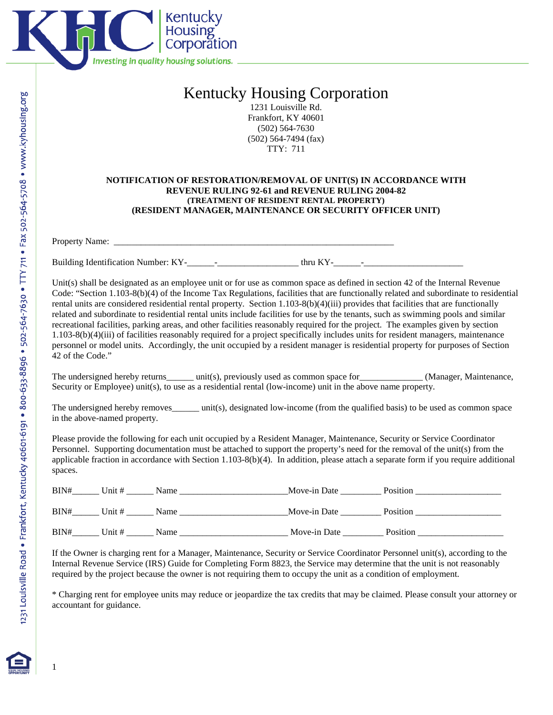

## Kentucky Housing Corporation

1231 Louisville Rd. Frankfort, KY 40601 (502) 564-7630 (502) 564-7494 (fax) TTY: 711

## **NOTIFICATION OF RESTORATION/REMOVAL OF UNIT(S) IN ACCORDANCE WITH REVENUE RULING 92-61 and REVENUE RULING 2004-82 (TREATMENT OF RESIDENT RENTAL PROPERTY) (RESIDENT MANAGER, MAINTENANCE OR SECURITY OFFICER UNIT)**

Property Name:

Building Identification Number: KY-\_\_\_\_\_\_-\_\_\_\_\_\_\_\_\_\_\_\_\_\_\_\_\_\_ thru KY-\_\_\_\_\_\_-\_\_\_\_\_\_\_\_\_\_\_\_\_\_\_\_\_\_\_\_\_\_

Unit(s) shall be designated as an employee unit or for use as common space as defined in section 42 of the Internal Revenue Code: "Section 1.103-8(b)(4) of the Income Tax Regulations, facilities that are functionally related and subordinate to residential rental units are considered residential rental property. Section 1.103-8(b)(4)(iii) provides that facilities that are functionally related and subordinate to residential rental units include facilities for use by the tenants, such as swimming pools and similar recreational facilities, parking areas, and other facilities reasonably required for the project. The examples given by section 1.103-8(b)(4)(iii) of facilities reasonably required for a project specifically includes units for resident managers, maintenance personnel or model units. Accordingly, the unit occupied by a resident manager is residential property for purposes of Section 42 of the Code."

The undersigned hereby returns\_\_\_\_\_ unit(s), previously used as common space for\_\_\_\_\_\_\_\_\_\_\_\_ (Manager, Maintenance, Security or Employee) unit(s), to use as a residential rental (low-income) unit in the above name property.

The undersigned hereby removes\_\_\_\_\_\_ unit(s), designated low-income (from the qualified basis) to be used as common space in the above-named property.

Please provide the following for each unit occupied by a Resident Manager, Maintenance, Security or Service Coordinator Personnel. Supporting documentation must be attached to support the property's need for the removal of the unit(s) from the applicable fraction in accordance with Section 1.103-8(b)(4). In addition, please attach a separate form if you require additional spaces.

| BIN# | Unit # | Name | Move-in Date | Position |
|------|--------|------|--------------|----------|
| BIN# | Unit # | Name | Move-in Date | Position |
| BIN# | Unit # | Name | Move-in Date | Position |

If the Owner is charging rent for a Manager, Maintenance, Security or Service Coordinator Personnel unit(s), according to the Internal Revenue Service (IRS) Guide for Completing Form 8823, the Service may determine that the unit is not reasonably required by the project because the owner is not requiring them to occupy the unit as a condition of employment.

\* Charging rent for employee units may reduce or jeopardize the tax credits that may be claimed. Please consult your attorney or accountant for guidance.



1